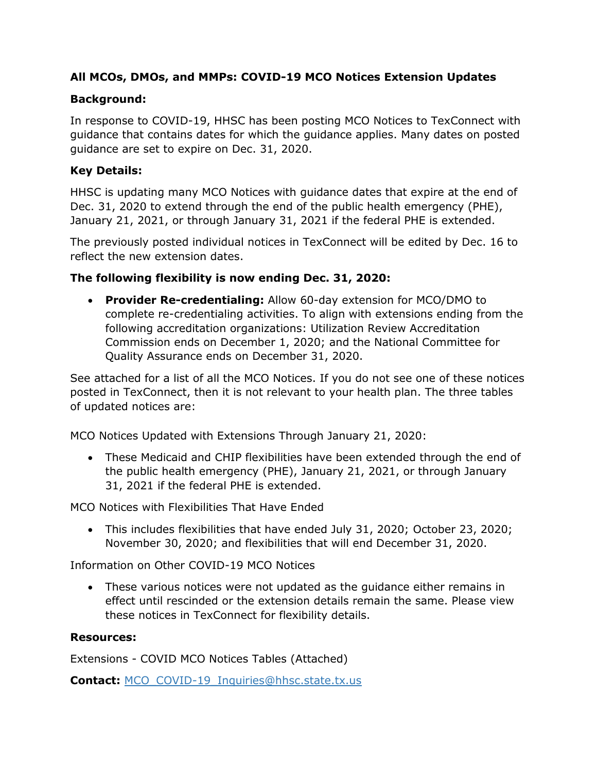### **All MCOs, DMOs, and MMPs: COVID-19 MCO Notices Extension Updates**

### **Background:**

In response to COVID-19, HHSC has been posting MCO Notices to TexConnect with guidance that contains dates for which the guidance applies. Many dates on posted guidance are set to expire on Dec. 31, 2020.

#### **Key Details:**

HHSC is updating many MCO Notices with guidance dates that expire at the end of Dec. 31, 2020 to extend through the end of the public health emergency (PHE), January 21, 2021, or through January 31, 2021 if the federal PHE is extended.

The previously posted individual notices in TexConnect will be edited by Dec. 16 to reflect the new extension dates.

#### **The following flexibility is now ending Dec. 31, 2020:**

• **Provider Re-credentialing:** Allow 60-day extension for MCO/DMO to complete re-credentialing activities. To align with extensions ending from the following accreditation organizations: Utilization Review Accreditation Commission ends on December 1, 2020; and the National Committee for Quality Assurance ends on December 31, 2020.

See attached for a list of all the MCO Notices. If you do not see one of these notices posted in TexConnect, then it is not relevant to your health plan. The three tables of updated notices are:

MCO Notices Updated with Extensions Through January 21, 2020:

• These Medicaid and CHIP flexibilities have been extended through the end of the public health emergency (PHE), January 21, 2021, or through January 31, 2021 if the federal PHE is extended.

MCO Notices with Flexibilities That Have Ended

• This includes flexibilities that have ended July 31, 2020; October 23, 2020; November 30, 2020; and flexibilities that will end December 31, 2020.

Information on Other COVID-19 MCO Notices

• These various notices were not updated as the guidance either remains in effect until rescinded or the extension details remain the same. Please view these notices in TexConnect for flexibility details.

#### **Resources:**

Extensions - COVID MCO Notices Tables (Attached)

**Contact:** [MCO\\_COVID-19\\_Inquiries@hhsc.state.tx.us](mailto:MCO_COVID-19_Inquiries@hhsc.state.tx.us)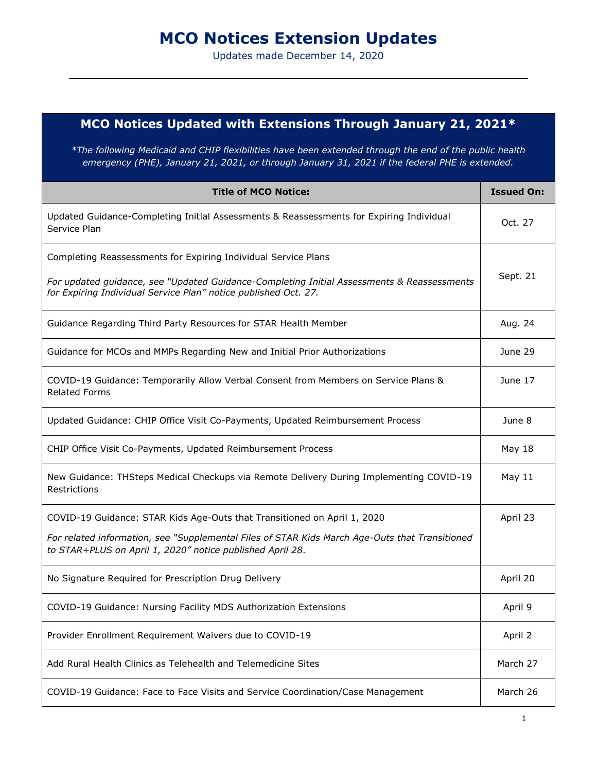# **MCO Notices Extension Updates**

Updates made December 14, 2020

## **MCO Notices Updated with Extensions Through January 21, 2021\***

*\*The following Medicaid and CHIP flexibilities have been extended through the end of the public health emergency (PHE), January 21, 2021, or through January 31, 2021 if the federal PHE is extended.* 

| <b>Title of MCO Notice:</b>                                                                                                                                   | <b>Issued On:</b> |
|---------------------------------------------------------------------------------------------------------------------------------------------------------------|-------------------|
| Updated Guidance-Completing Initial Assessments & Reassessments for Expiring Individual<br>Service Plan                                                       | Oct. 27           |
| Completing Reassessments for Expiring Individual Service Plans                                                                                                |                   |
| For updated guidance, see "Updated Guidance-Completing Initial Assessments & Reassessments<br>for Expiring Individual Service Plan" notice published Oct. 27. | Sept. 21          |
| Guidance Regarding Third Party Resources for STAR Health Member                                                                                               | Aug. 24           |
| Guidance for MCOs and MMPs Regarding New and Initial Prior Authorizations                                                                                     | June 29           |
| COVID-19 Guidance: Temporarily Allow Verbal Consent from Members on Service Plans &<br><b>Related Forms</b>                                                   | June 17           |
| Updated Guidance: CHIP Office Visit Co-Payments, Updated Reimbursement Process                                                                                | June 8            |
| CHIP Office Visit Co-Payments, Updated Reimbursement Process                                                                                                  | <b>May 18</b>     |
| New Guidance: THSteps Medical Checkups via Remote Delivery During Implementing COVID-19<br>Restrictions                                                       | May 11            |
| COVID-19 Guidance: STAR Kids Age-Outs that Transitioned on April 1, 2020                                                                                      | April 23          |
| For related information, see "Supplemental Files of STAR Kids March Age-Outs that Transitioned<br>to STAR+PLUS on April 1, 2020" notice published April 28.   |                   |
| No Signature Required for Prescription Drug Delivery                                                                                                          | April 20          |
| COVID-19 Guidance: Nursing Facility MDS Authorization Extensions                                                                                              | April 9           |
| Provider Enrollment Requirement Waivers due to COVID-19                                                                                                       | April 2           |
| Add Rural Health Clinics as Telehealth and Telemedicine Sites                                                                                                 | March 27          |
| COVID-19 Guidance: Face to Face Visits and Service Coordination/Case Management                                                                               | March 26          |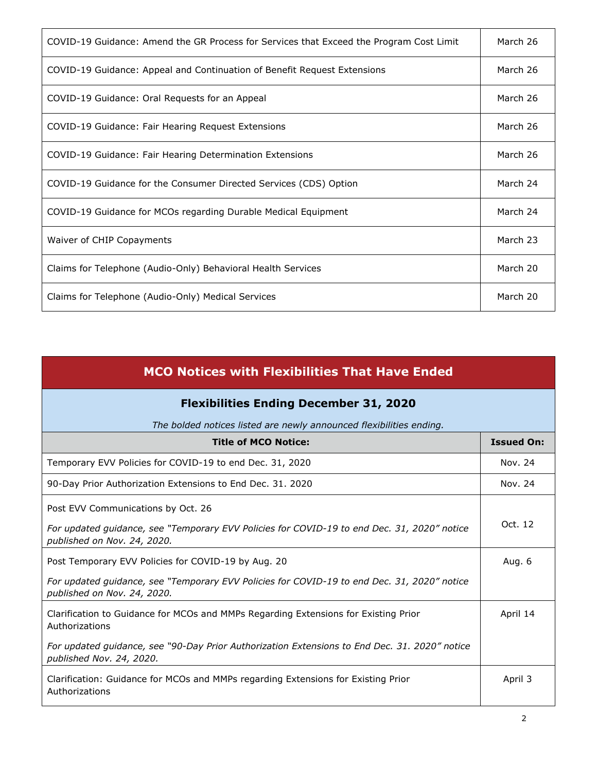| COVID-19 Guidance: Amend the GR Process for Services that Exceed the Program Cost Limit | March 26 |
|-----------------------------------------------------------------------------------------|----------|
| COVID-19 Guidance: Appeal and Continuation of Benefit Request Extensions                | March 26 |
| COVID-19 Guidance: Oral Requests for an Appeal                                          | March 26 |
| COVID-19 Guidance: Fair Hearing Request Extensions                                      | March 26 |
| COVID-19 Guidance: Fair Hearing Determination Extensions                                | March 26 |
| COVID-19 Guidance for the Consumer Directed Services (CDS) Option                       | March 24 |
| COVID-19 Guidance for MCOs regarding Durable Medical Equipment                          | March 24 |
| Waiver of CHIP Copayments                                                               | March 23 |
| Claims for Telephone (Audio-Only) Behavioral Health Services                            | March 20 |
| Claims for Telephone (Audio-Only) Medical Services                                      | March 20 |

| <b>MCO Notices with Flexibilities That Have Ended</b>                                                                                                            |                   |
|------------------------------------------------------------------------------------------------------------------------------------------------------------------|-------------------|
| <b>Flexibilities Ending December 31, 2020</b>                                                                                                                    |                   |
| The bolded notices listed are newly announced flexibilities ending.                                                                                              |                   |
| <b>Title of MCO Notice:</b>                                                                                                                                      | <b>Issued On:</b> |
| Temporary EVV Policies for COVID-19 to end Dec. 31, 2020                                                                                                         | Nov. 24           |
| 90-Day Prior Authorization Extensions to End Dec. 31. 2020                                                                                                       | Nov. 24           |
| Post EVV Communications by Oct. 26<br>For updated guidance, see "Temporary EVV Policies for COVID-19 to end Dec. 31, 2020" notice<br>published on Nov. 24, 2020. | Oct. 12           |
| Post Temporary EVV Policies for COVID-19 by Aug. 20                                                                                                              | Aug. 6            |
| For updated guidance, see "Temporary EVV Policies for COVID-19 to end Dec. 31, 2020" notice<br>published on Nov. 24, 2020.                                       |                   |
| Clarification to Guidance for MCOs and MMPs Regarding Extensions for Existing Prior<br>Authorizations                                                            | April 14          |
| For updated guidance, see "90-Day Prior Authorization Extensions to End Dec. 31. 2020" notice<br>published Nov. 24, 2020.                                        |                   |
| Clarification: Guidance for MCOs and MMPs regarding Extensions for Existing Prior<br>Authorizations                                                              | April 3           |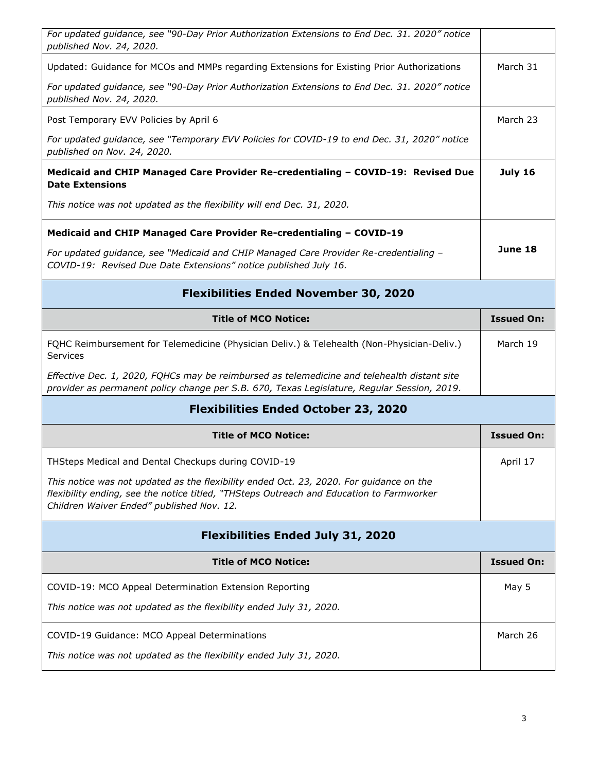| For updated guidance, see "90-Day Prior Authorization Extensions to End Dec. 31. 2020" notice<br>published Nov. 24, 2020.                                                                                                        |                   |
|----------------------------------------------------------------------------------------------------------------------------------------------------------------------------------------------------------------------------------|-------------------|
| Updated: Guidance for MCOs and MMPs regarding Extensions for Existing Prior Authorizations                                                                                                                                       | March 31          |
| For updated guidance, see "90-Day Prior Authorization Extensions to End Dec. 31. 2020" notice<br>published Nov. 24, 2020.                                                                                                        |                   |
| Post Temporary EVV Policies by April 6                                                                                                                                                                                           | March 23          |
| For updated guidance, see "Temporary EVV Policies for COVID-19 to end Dec. 31, 2020" notice<br>published on Nov. 24, 2020.                                                                                                       |                   |
| Medicaid and CHIP Managed Care Provider Re-credentialing - COVID-19: Revised Due<br><b>Date Extensions</b>                                                                                                                       | <b>July 16</b>    |
| This notice was not updated as the flexibility will end Dec. 31, 2020.                                                                                                                                                           |                   |
| Medicaid and CHIP Managed Care Provider Re-credentialing - COVID-19                                                                                                                                                              |                   |
| For updated guidance, see "Medicaid and CHIP Managed Care Provider Re-credentialing -<br>COVID-19: Revised Due Date Extensions" notice published July 16.                                                                        | June 18           |
| <b>Flexibilities Ended November 30, 2020</b>                                                                                                                                                                                     |                   |
| <b>Title of MCO Notice:</b>                                                                                                                                                                                                      | <b>Issued On:</b> |
| FQHC Reimbursement for Telemedicine (Physician Deliv.) & Telehealth (Non-Physician-Deliv.)<br><b>Services</b>                                                                                                                    | March 19          |
| Effective Dec. 1, 2020, FQHCs may be reimbursed as telemedicine and telehealth distant site<br>provider as permanent policy change per S.B. 670, Texas Legislature, Regular Session, 2019.                                       |                   |
| <b>Flexibilities Ended October 23, 2020</b>                                                                                                                                                                                      |                   |
| <b>Title of MCO Notice:</b>                                                                                                                                                                                                      | <b>Issued On:</b> |
| THSteps Medical and Dental Checkups during COVID-19                                                                                                                                                                              | April 17          |
| This notice was not updated as the flexibility ended Oct. 23, 2020. For guidance on the<br>flexibility ending, see the notice titled, "THSteps Outreach and Education to Farmworker<br>Children Waiver Ended" published Nov. 12. |                   |
| <b>Flexibilities Ended July 31, 2020</b>                                                                                                                                                                                         |                   |
| <b>Title of MCO Notice:</b>                                                                                                                                                                                                      | <b>Issued On:</b> |
| COVID-19: MCO Appeal Determination Extension Reporting                                                                                                                                                                           | May 5             |
| This notice was not updated as the flexibility ended July 31, 2020.                                                                                                                                                              |                   |
| COVID-19 Guidance: MCO Appeal Determinations                                                                                                                                                                                     | March 26          |
| This notice was not updated as the flexibility ended July 31, 2020.                                                                                                                                                              |                   |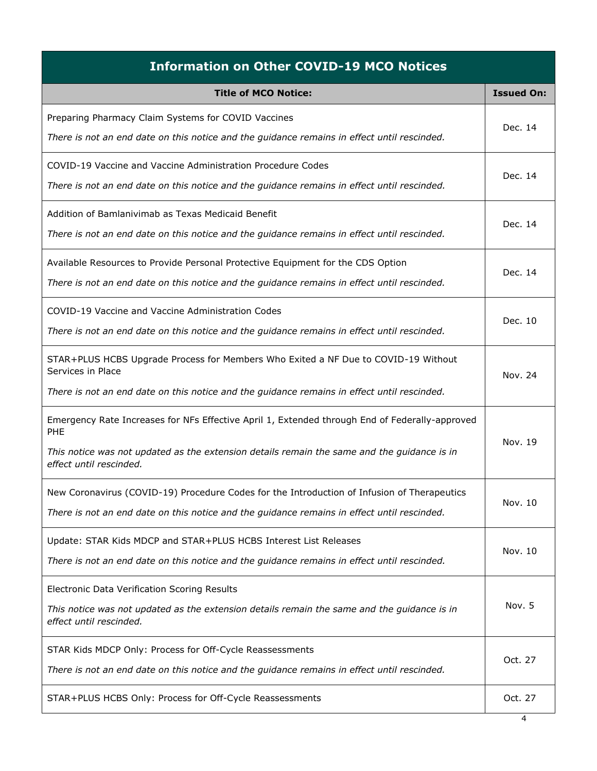| <b>Information on Other COVID-19 MCO Notices</b>                                                                                                                                                                                       |                   |
|----------------------------------------------------------------------------------------------------------------------------------------------------------------------------------------------------------------------------------------|-------------------|
| <b>Title of MCO Notice:</b>                                                                                                                                                                                                            | <b>Issued On:</b> |
| Preparing Pharmacy Claim Systems for COVID Vaccines<br>There is not an end date on this notice and the guidance remains in effect until rescinded.                                                                                     | Dec. 14           |
| COVID-19 Vaccine and Vaccine Administration Procedure Codes<br>There is not an end date on this notice and the guidance remains in effect until rescinded.                                                                             | Dec. 14           |
| Addition of Bamlanivimab as Texas Medicaid Benefit<br>There is not an end date on this notice and the guidance remains in effect until rescinded.                                                                                      | Dec. 14           |
| Available Resources to Provide Personal Protective Equipment for the CDS Option<br>There is not an end date on this notice and the guidance remains in effect until rescinded.                                                         | Dec. 14           |
| COVID-19 Vaccine and Vaccine Administration Codes<br>There is not an end date on this notice and the guidance remains in effect until rescinded.                                                                                       | Dec. 10           |
| STAR+PLUS HCBS Upgrade Process for Members Who Exited a NF Due to COVID-19 Without<br>Services in Place<br>There is not an end date on this notice and the guidance remains in effect until rescinded.                                 | Nov. 24           |
| Emergency Rate Increases for NFs Effective April 1, Extended through End of Federally-approved<br><b>PHE</b><br>This notice was not updated as the extension details remain the same and the guidance is in<br>effect until rescinded. | Nov. 19           |
| New Coronavirus (COVID-19) Procedure Codes for the Introduction of Infusion of Therapeutics<br>There is not an end date on this notice and the guidance remains in effect until rescinded.                                             | Nov. 10           |
| Update: STAR Kids MDCP and STAR+PLUS HCBS Interest List Releases<br>There is not an end date on this notice and the guidance remains in effect until rescinded.                                                                        | Nov. 10           |
| Electronic Data Verification Scoring Results<br>This notice was not updated as the extension details remain the same and the guidance is in<br>effect until rescinded.                                                                 | Nov. 5            |
| STAR Kids MDCP Only: Process for Off-Cycle Reassessments<br>There is not an end date on this notice and the guidance remains in effect until rescinded.                                                                                | Oct. 27           |
| STAR+PLUS HCBS Only: Process for Off-Cycle Reassessments                                                                                                                                                                               | Oct. 27           |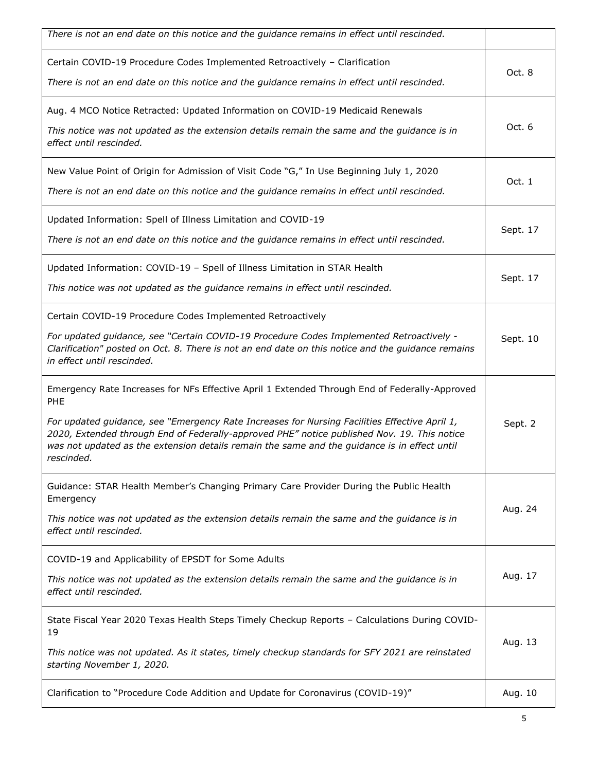| There is not an end date on this notice and the guidance remains in effect until rescinded.                                                                                                                                                                                                                                                                                                                        |          |
|--------------------------------------------------------------------------------------------------------------------------------------------------------------------------------------------------------------------------------------------------------------------------------------------------------------------------------------------------------------------------------------------------------------------|----------|
| Certain COVID-19 Procedure Codes Implemented Retroactively - Clarification<br>There is not an end date on this notice and the guidance remains in effect until rescinded.                                                                                                                                                                                                                                          | Oct. 8   |
| Aug. 4 MCO Notice Retracted: Updated Information on COVID-19 Medicaid Renewals<br>This notice was not updated as the extension details remain the same and the guidance is in<br>effect until rescinded.                                                                                                                                                                                                           | Oct. 6   |
| New Value Point of Origin for Admission of Visit Code "G," In Use Beginning July 1, 2020<br>There is not an end date on this notice and the guidance remains in effect until rescinded.                                                                                                                                                                                                                            | Oct. 1   |
| Updated Information: Spell of Illness Limitation and COVID-19<br>There is not an end date on this notice and the guidance remains in effect until rescinded.                                                                                                                                                                                                                                                       | Sept. 17 |
| Updated Information: COVID-19 - Spell of Illness Limitation in STAR Health<br>This notice was not updated as the guidance remains in effect until rescinded.                                                                                                                                                                                                                                                       | Sept. 17 |
| Certain COVID-19 Procedure Codes Implemented Retroactively<br>For updated guidance, see "Certain COVID-19 Procedure Codes Implemented Retroactively -<br>Clarification" posted on Oct. 8. There is not an end date on this notice and the guidance remains<br>in effect until rescinded.                                                                                                                           | Sept. 10 |
| Emergency Rate Increases for NFs Effective April 1 Extended Through End of Federally-Approved<br>PHE<br>For updated guidance, see "Emergency Rate Increases for Nursing Facilities Effective April 1,<br>2020, Extended through End of Federally-approved PHE" notice published Nov. 19. This notice<br>was not updated as the extension details remain the same and the guidance is in effect until<br>rescinded. | Sept. 2  |
| Guidance: STAR Health Member's Changing Primary Care Provider During the Public Health<br>Emergency<br>This notice was not updated as the extension details remain the same and the guidance is in<br>effect until rescinded.                                                                                                                                                                                      | Aug. 24  |
| COVID-19 and Applicability of EPSDT for Some Adults<br>This notice was not updated as the extension details remain the same and the guidance is in<br>effect until rescinded.                                                                                                                                                                                                                                      | Aug. 17  |
| State Fiscal Year 2020 Texas Health Steps Timely Checkup Reports - Calculations During COVID-<br>19<br>This notice was not updated. As it states, timely checkup standards for SFY 2021 are reinstated<br>starting November 1, 2020.                                                                                                                                                                               | Aug. 13  |
| Clarification to "Procedure Code Addition and Update for Coronavirus (COVID-19)"                                                                                                                                                                                                                                                                                                                                   | Aug. 10  |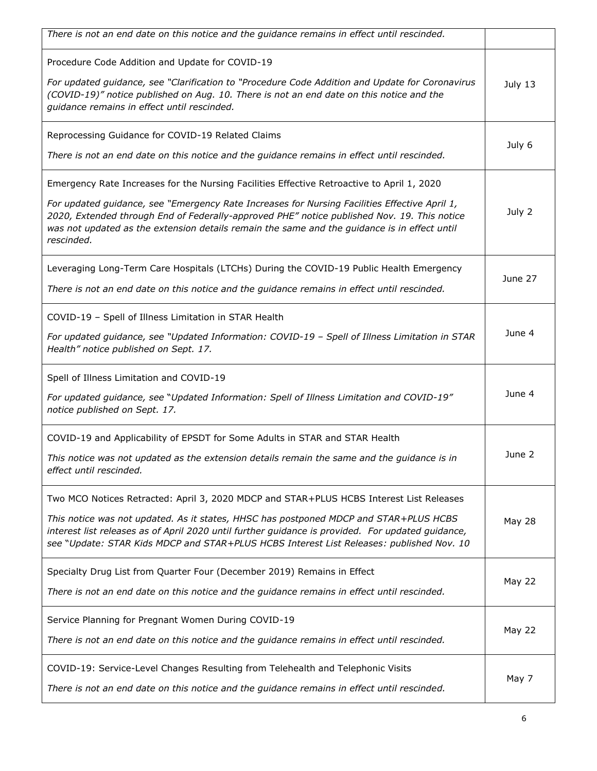| There is not an end date on this notice and the guidance remains in effect until rescinded.                                                                                                                                                                                                                                                                                                              |               |
|----------------------------------------------------------------------------------------------------------------------------------------------------------------------------------------------------------------------------------------------------------------------------------------------------------------------------------------------------------------------------------------------------------|---------------|
| Procedure Code Addition and Update for COVID-19<br>For updated guidance, see "Clarification to "Procedure Code Addition and Update for Coronavirus<br>(COVID-19)" notice published on Aug. 10. There is not an end date on this notice and the<br>guidance remains in effect until rescinded.                                                                                                            | July 13       |
| Reprocessing Guidance for COVID-19 Related Claims<br>There is not an end date on this notice and the guidance remains in effect until rescinded.                                                                                                                                                                                                                                                         | July 6        |
| Emergency Rate Increases for the Nursing Facilities Effective Retroactive to April 1, 2020<br>For updated guidance, see "Emergency Rate Increases for Nursing Facilities Effective April 1,<br>2020, Extended through End of Federally-approved PHE" notice published Nov. 19. This notice<br>was not updated as the extension details remain the same and the guidance is in effect until<br>rescinded. | July 2        |
| Leveraging Long-Term Care Hospitals (LTCHs) During the COVID-19 Public Health Emergency<br>There is not an end date on this notice and the guidance remains in effect until rescinded.                                                                                                                                                                                                                   | June 27       |
| COVID-19 - Spell of Illness Limitation in STAR Health<br>For updated guidance, see "Updated Information: COVID-19 - Spell of Illness Limitation in STAR<br>Health" notice published on Sept. 17.                                                                                                                                                                                                         | June 4        |
| Spell of Illness Limitation and COVID-19<br>For updated guidance, see "Updated Information: Spell of Illness Limitation and COVID-19"<br>notice published on Sept. 17.                                                                                                                                                                                                                                   | June 4        |
| COVID-19 and Applicability of EPSDT for Some Adults in STAR and STAR Health<br>This notice was not updated as the extension details remain the same and the guidance is in<br>effect until rescinded.                                                                                                                                                                                                    | June 2        |
| Two MCO Notices Retracted: April 3, 2020 MDCP and STAR+PLUS HCBS Interest List Releases<br>This notice was not updated. As it states, HHSC has postponed MDCP and STAR+PLUS HCBS<br>interest list releases as of April 2020 until further guidance is provided. For updated guidance,<br>see "Update: STAR Kids MDCP and STAR+PLUS HCBS Interest List Releases: published Nov. 10                        | <b>May 28</b> |
| Specialty Drug List from Quarter Four (December 2019) Remains in Effect<br>There is not an end date on this notice and the guidance remains in effect until rescinded.                                                                                                                                                                                                                                   | <b>May 22</b> |
| Service Planning for Pregnant Women During COVID-19<br>There is not an end date on this notice and the guidance remains in effect until rescinded.                                                                                                                                                                                                                                                       | <b>May 22</b> |
| COVID-19: Service-Level Changes Resulting from Telehealth and Telephonic Visits<br>There is not an end date on this notice and the guidance remains in effect until rescinded.                                                                                                                                                                                                                           | May 7         |